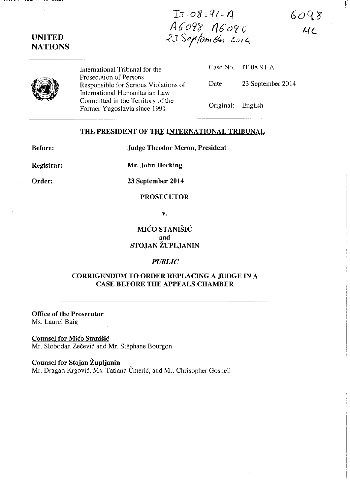$6098$  $\overline{u}$ 

# UNITED **NATIONS**

International Tribunal for the Prosecution of Persons Responsible for Serious Violations of International Humanitarian Law Committed in the Territory of the Former Yugoslavia since 1991

Case No. IT-08-91-A Date: 23 September 2014 Original: English

 $I: 08.91.4$ 

lib'Orty\_ *fl6'oC(* £

-? 3 S *1'IOm* tt1 z.u f 4.

### THE PRESIDENT OF THE INTERNATIONAL TRIBUNAL

Before:

Order:

Judge Theodor Meron, President

Registrar:

Mr. John Hocking

23 September 2014

# **PROSECUTOR**

v.

MICO STANISIC and STOJAN ZUPLJANIN

#### *PUBLIC*

## CORRIGENDUM TO ORDER REPLACING A JUDGE IN A CASE BEFORE THE APPEALS CHAMBER

Office of the Prosecutor Ms. Laurel Baig

Counsel for Mico Stanisic Mr. Slobodan Zečević and Mr. Stéphane Bourgon

### Counsel for Stojan Župljanin

Mr. Dragan Krgović, Ms. Tatiana Čmerić, and Mr. Chrisopher Gosnell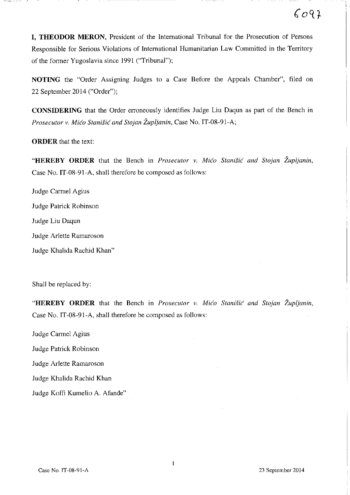**I. THEODOR MERON, President of the International Tribunal for the Prosecution of Persons** Responsible for Serious Violations of International Humanitarian Law Committed in the Territory of the former Yugoslavia since 1991 ("Tribunal");

**NOTING** the "Order Assigning Judges to a Case Before the Appeals Chamber", filed on 22 September 2014 ("Order");

**CONSIDERING** that the Order erroneously identifies Judge **Liu** Daqun as part of the Bench in *Prosecutor v. Mico Stanisic and Stojan Zupijanin,* Case No. IT-08-91-A;

**ORDER** that the text:

**"HEREBY ORDER** that the Bench in *Prosecutor v. Mico Stanisic and Stojan Zupljanin,*  Case No. IT-08-91-A, shall therefore be composed as follows:

Judge Carmel Agius Judge Patrick Robinson Judge **Liu** Daqun Judge Arlette Ramaroson Judge Khalida Rachid Khan"

Shall be replaced by:

**"HEREBY ORDER** that the Bench in *Prosecutor v. Mico Stanisic and Stojan Zupljanin,*  Case No. IT-08-91-A, shall therefore be composed as follows:

Judge Carmel Agius

Judge Patrick Robinson

Judge Arlette Ramaroson

Judge Khalida Rachid Khan

Judge Koffi Kumelio A. Afande"

 $6097$